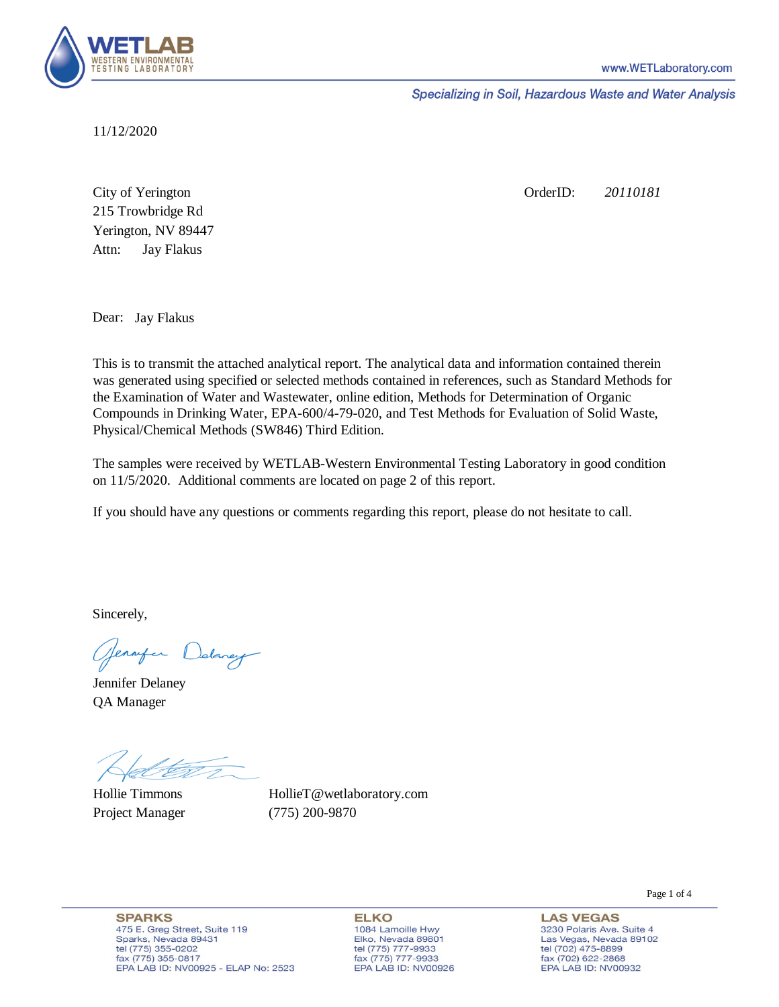

Specializing in Soil, Hazardous Waste and Water Analysis

11/12/2020

Attn: City of Yerington 215 Trowbridge Rd Jay Flakus Yerington, NV 89447 OrderID: *20110181*

Dear: Jay Flakus

This is to transmit the attached analytical report. The analytical data and information contained therein was generated using specified or selected methods contained in references, such as Standard Methods for the Examination of Water and Wastewater, online edition, Methods for Determination of Organic Compounds in Drinking Water, EPA-600/4-79-020, and Test Methods for Evaluation of Solid Waste, Physical/Chemical Methods (SW846) Third Edition.

The samples were received by WETLAB-Western Environmental Testing Laboratory in good condition on 11/5/2020. Additional comments are located on page 2 of this report.

If you should have any questions or comments regarding this report, please do not hesitate to call.

Sincerely,

Genryen Delaney

Jennifer Delaney QA Manager

Hollie Timmons Project Manager (775) 200-9870

HollieT@wetlaboratory.com

**SPARKS** 475 E. Greg Street, Suite 119 Sparks, Nevada 89431 tel (775) 355-0202 fax (775) 355-0817 EPA LAB ID: NV00925 - ELAP No: 2523

**ELKO** 1084 Lamoille Hwy Elko, Nevada 89801 tel (775) 777-9933<br>fax (775) 777-9933 EPA LAB ID: NV00926

Page 1 of 4

3230 Polaris Ave. Suite 4 Las Vegas, Nevada 89102 tel (702) 475-8899<br>fax (702) 622-2868 EPA LAB ID: NV00932

**LAS VEGAS**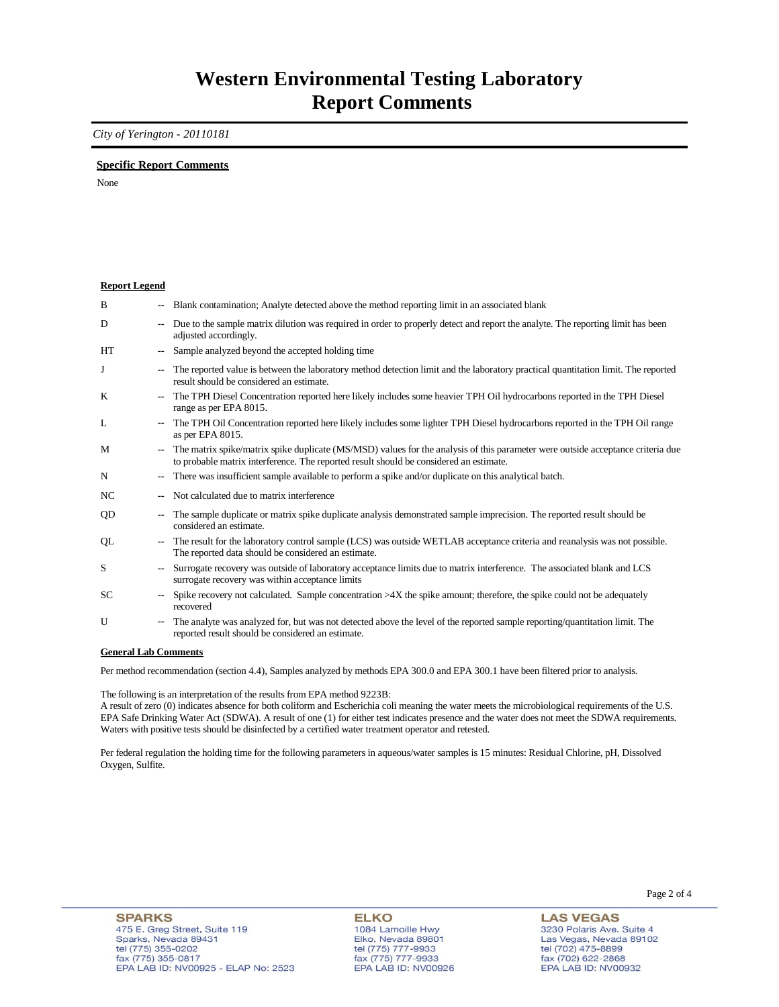### **Western Environmental Testing Laboratory Report Comments**

*City of Yerington - 20110181* 

### **Specific Report Comments**

None

#### **Report Legend**

| B         | -−                       | Blank contamination; Analyte detected above the method reporting limit in an associated blank                                                                                                                             |
|-----------|--------------------------|---------------------------------------------------------------------------------------------------------------------------------------------------------------------------------------------------------------------------|
| D         | ۰.                       | Due to the sample matrix dilution was required in order to properly detect and report the analyte. The reporting limit has been<br>adjusted accordingly.                                                                  |
| <b>HT</b> | $\overline{\phantom{a}}$ | Sample analyzed beyond the accepted holding time                                                                                                                                                                          |
| J         | --                       | The reported value is between the laboratory method detection limit and the laboratory practical quantitation limit. The reported<br>result should be considered an estimate.                                             |
| K         | ۰.                       | The TPH Diesel Concentration reported here likely includes some heavier TPH Oil hydrocarbons reported in the TPH Diesel<br>range as per EPA 8015.                                                                         |
| L         | $\sim$                   | The TPH Oil Concentration reported here likely includes some lighter TPH Diesel hydrocarbons reported in the TPH Oil range<br>as per EPA 8015.                                                                            |
| M         | $\overline{\phantom{a}}$ | The matrix spike/matrix spike duplicate (MS/MSD) values for the analysis of this parameter were outside acceptance criteria due<br>to probable matrix interference. The reported result should be considered an estimate. |
| N         |                          | There was insufficient sample available to perform a spike and/or duplicate on this analytical batch.                                                                                                                     |
| NC        | --                       | Not calculated due to matrix interference                                                                                                                                                                                 |
| <b>OD</b> | --                       | The sample duplicate or matrix spike duplicate analysis demonstrated sample imprecision. The reported result should be<br>considered an estimate.                                                                         |
| QL        | ۰.                       | The result for the laboratory control sample (LCS) was outside WETLAB acceptance criteria and reanalysis was not possible.<br>The reported data should be considered an estimate.                                         |
| S         | $\overline{\phantom{a}}$ | Surrogate recovery was outside of laboratory acceptance limits due to matrix interference. The associated blank and LCS<br>surrogate recovery was within acceptance limits                                                |
| SC.       | $\overline{\phantom{a}}$ | Spike recovery not calculated. Sample concentration $>4X$ the spike amount; therefore, the spike could not be adequately<br>recovered                                                                                     |
| U         | $\overline{\phantom{a}}$ | The analyte was analyzed for, but was not detected above the level of the reported sample reporting/quantitation limit. The<br>reported result should be considered an estimate.                                          |

#### **General Lab Comments**

Per method recommendation (section 4.4), Samples analyzed by methods EPA 300.0 and EPA 300.1 have been filtered prior to analysis.

The following is an interpretation of the results from EPA method 9223B:

A result of zero (0) indicates absence for both coliform and Escherichia coli meaning the water meets the microbiological requirements of the U.S. EPA Safe Drinking Water Act (SDWA). A result of one (1) for either test indicates presence and the water does not meet the SDWA requirements. Waters with positive tests should be disinfected by a certified water treatment operator and retested.

Per federal regulation the holding time for the following parameters in aqueous/water samples is 15 minutes: Residual Chlorine, pH, Dissolved Oxygen, Sulfite.

**ELKO** 1084 Lamoille Hwy<br>Elko, Nevada 89801 tel (775) 777-9933<br>fax (775) 777-9933 EPA LAB ID: NV00926

**LAS VEGAS** 3230 Polaris Ave. Suite 4 Las Vegas, Nevada 89102 tel (702) 475-8899<br>fax (702) 622-2868 EPA LAB ID: NV00932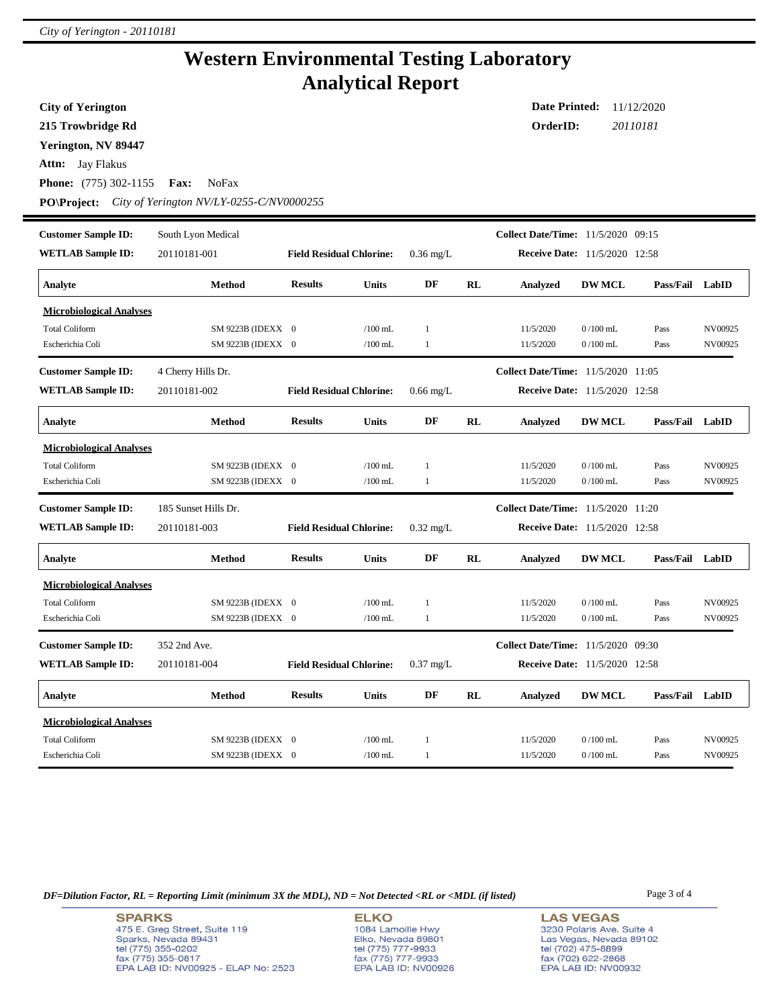## **Western Environmental Testing Laboratory Analytical Report**

**City of Yerington**

**215 Trowbridge Rd**

**Yerington, NV 89447**

**Attn:** Jay Flakus

**Phone:** (775) 302-1155 **Fax:** NoFax

**PO\Project:** *City of Yerington NV/LY-0255-C/NV0000255*

| <b>Customer Sample ID:</b><br><b>WETLAB Sample ID:</b> | South Lyon Medical<br>20110181-001 | <b>Field Residual Chlorine:</b> |              | $0.36$ mg/L  |           | <b>Collect Date/Time:</b> 11/5/2020 09:15<br>Receive Date: 11/5/2020 12:58 |               |                 |         |
|--------------------------------------------------------|------------------------------------|---------------------------------|--------------|--------------|-----------|----------------------------------------------------------------------------|---------------|-----------------|---------|
|                                                        |                                    |                                 |              |              |           |                                                                            |               |                 |         |
| Analyte                                                | Method                             | <b>Results</b>                  | Units        | DF           | RL        | <b>Analyzed</b>                                                            | <b>DW MCL</b> | Pass/Fail LabID |         |
| <b>Microbiological Analyses</b>                        |                                    |                                 |              |              |           |                                                                            |               |                 |         |
| <b>Total Coliform</b>                                  | SM 9223B (IDEXX 0                  |                                 | $/100$ mL    | $\mathbf{1}$ |           | 11/5/2020                                                                  | $0/100$ mL    | Pass            | NV00925 |
| Escherichia Coli                                       | SM 9223B (IDEXX 0                  |                                 | $/100$ mL    | 1            |           | 11/5/2020                                                                  | $0/100$ mL    | Pass            | NV00925 |
| <b>Customer Sample ID:</b>                             | 4 Cherry Hills Dr.                 |                                 |              |              |           | Collect Date/Time: 11/5/2020 11:05                                         |               |                 |         |
| <b>WETLAB Sample ID:</b>                               | 20110181-002                       | <b>Field Residual Chlorine:</b> |              | $0.66$ mg/L  |           | Receive Date: 11/5/2020 12:58                                              |               |                 |         |
| Analyte                                                | Method                             | <b>Results</b>                  | Units        | DF           | RL        | <b>Analyzed</b>                                                            | <b>DW MCL</b> | Pass/Fail LabID |         |
| <b>Microbiological Analyses</b>                        |                                    |                                 |              |              |           |                                                                            |               |                 |         |
| <b>Total Coliform</b>                                  | SM 9223B (IDEXX 0                  |                                 | $/100$ mL    | $\mathbf{1}$ |           | 11/5/2020                                                                  | $0/100$ mL    | Pass            | NV00925 |
| Escherichia Coli                                       | SM 9223B (IDEXX 0                  |                                 | $/100$ mL    | 1            |           | 11/5/2020                                                                  | $0/100$ mL    | Pass            | NV00925 |
|                                                        |                                    |                                 |              |              |           |                                                                            |               |                 |         |
| <b>Customer Sample ID:</b>                             | 185 Sunset Hills Dr.               |                                 |              |              |           | Collect Date/Time: 11/5/2020 11:20                                         |               |                 |         |
| <b>WETLAB Sample ID:</b>                               | 20110181-003                       | <b>Field Residual Chlorine:</b> |              | $0.32$ mg/L  |           | <b>Receive Date:</b> 11/5/2020 12:58                                       |               |                 |         |
| Analyte                                                | <b>Method</b>                      | <b>Results</b>                  | Units        | DF           | RL        | <b>Analyzed</b>                                                            | <b>DW MCL</b> | Pass/Fail       | LabID   |
| <b>Microbiological Analyses</b>                        |                                    |                                 |              |              |           |                                                                            |               |                 |         |
| <b>Total Coliform</b>                                  | SM 9223B (IDEXX 0                  |                                 | $/100$ mL    | $\mathbf{1}$ |           | 11/5/2020                                                                  | $0/100$ mL    | Pass            | NV00925 |
| Escherichia Coli                                       | SM 9223B (IDEXX 0                  |                                 | $/100$ mL    | $\mathbf{1}$ |           | 11/5/2020                                                                  | $0/100$ mL    | Pass            | NV00925 |
| <b>Customer Sample ID:</b>                             | 352 2nd Ave.                       |                                 |              |              |           | Collect Date/Time: 11/5/2020 09:30                                         |               |                 |         |
| <b>WETLAB Sample ID:</b>                               | 20110181-004                       | <b>Field Residual Chlorine:</b> |              | $0.37$ mg/L  |           | <b>Receive Date:</b> 11/5/2020 12:58                                       |               |                 |         |
| Analyte                                                | Method                             | <b>Results</b>                  | <b>Units</b> | DF           | <b>RL</b> | <b>Analyzed</b>                                                            | <b>DW MCL</b> | Pass/Fail       | LabID   |
| <b>Microbiological Analyses</b>                        |                                    |                                 |              |              |           |                                                                            |               |                 |         |
| <b>Total Coliform</b>                                  | SM 9223B (IDEXX 0                  |                                 | $/100$ mL    | 1            |           | 11/5/2020                                                                  | $0/100$ mL    | Pass            | NV00925 |

*DF=Dilution Factor, RL = Reporting Limit (minimum 3X the MDL), ND = Not Detected <RL or <MDL (if listed)* Page 3 of 4

**SPARKS** 475 E. Greg Street, Suite 119 Sparks, Nevada 89431 tel (775) 355-0202<br>fax (775) 355-0817 EPA LAB ID: NV00925 - ELAP No: 2523

**ELKO** 1084 Lamoille Hwy Elko, Nevada 89801<br>tel (775) 777-9933<br>fax (775) 777-9933 EPA LAB ID: NV00926 **LAS VEGAS** 3230 Polaris Ave. Suite 4 Las Vegas, Nevada 89102 tel (702) 475-8899<br>fax (702) 622-2868 EPA LAB ID: NV00932

**Date Printed:** 11/12/2020 **OrderID:** *20110181*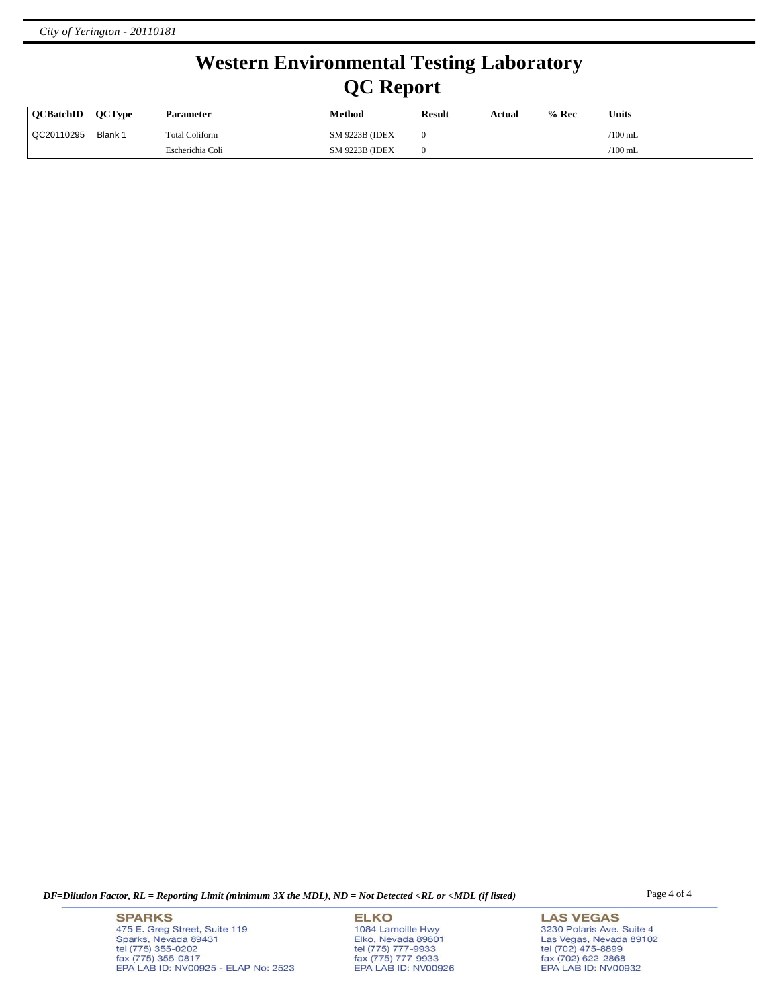# **Western Environmental Testing Laboratory QC Report**

| <b>OCBatchID</b> | <b>OCType</b> | Parameter             | Method                 | <b>Result</b> | Actual | $%$ Rec | Units     |
|------------------|---------------|-----------------------|------------------------|---------------|--------|---------|-----------|
| QC20110295       | Blank 1       | <b>Total Coliform</b> | <b>SM 9223B (IDEX)</b> |               |        |         | /100 mL   |
|                  |               | Escherichia Coli      | <b>SM 9223B (IDEX)</b> |               |        |         | $/100$ mL |

*DF=Dilution Factor, RL = Reporting Limit (minimum 3X the MDL), ND = Not Detected <RL or <MDL (if listed)* Page 4 of 4

**SPARKS** 475 E. Greg Street, Suite 119 Sparks, Nevada 89431<br>tel (775) 355-0202<br>fax (775) 355-0817 EPA LAB ID: NV00925 - ELAP No: 2523

**ELKO** 1084 Lamoille Hwy Elko, Nevada 89801<br>tel (775) 777-9933<br>fax (775) 777-9933 EPA LAB ID: NV00926

**LAS VEGAS** 3230 Polaris Ave. Suite 4 Las Vegas, Nevada 89102<br>tel (702) 475-8899<br>fax (702) 622-2868<br>EPA LAB ID: NV00932